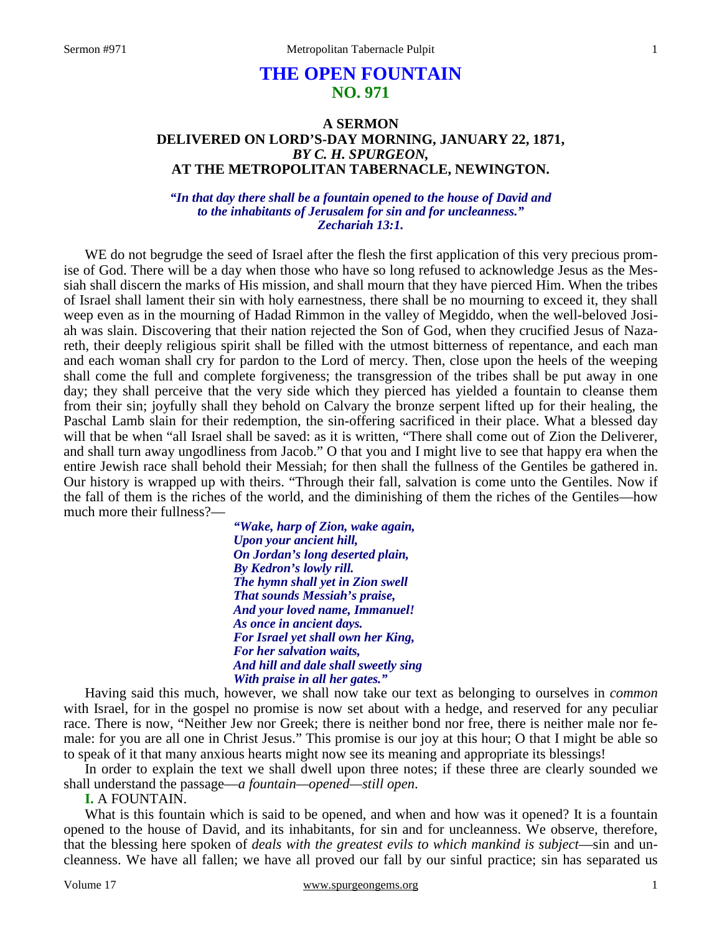# **THE OPEN FOUNTAIN NO. 971**

# **A SERMON DELIVERED ON LORD'S-DAY MORNING, JANUARY 22, 1871,**  *BY C. H. SPURGEON,*  **AT THE METROPOLITAN TABERNACLE, NEWINGTON.**

*"In that day there shall be a fountain opened to the house of David and to the inhabitants of Jerusalem for sin and for uncleanness." Zechariah 13:1.*

WE do not begrudge the seed of Israel after the flesh the first application of this very precious promise of God. There will be a day when those who have so long refused to acknowledge Jesus as the Messiah shall discern the marks of His mission, and shall mourn that they have pierced Him. When the tribes of Israel shall lament their sin with holy earnestness, there shall be no mourning to exceed it, they shall weep even as in the mourning of Hadad Rimmon in the valley of Megiddo, when the well-beloved Josiah was slain. Discovering that their nation rejected the Son of God, when they crucified Jesus of Nazareth, their deeply religious spirit shall be filled with the utmost bitterness of repentance, and each man and each woman shall cry for pardon to the Lord of mercy. Then, close upon the heels of the weeping shall come the full and complete forgiveness; the transgression of the tribes shall be put away in one day; they shall perceive that the very side which they pierced has yielded a fountain to cleanse them from their sin; joyfully shall they behold on Calvary the bronze serpent lifted up for their healing, the Paschal Lamb slain for their redemption, the sin-offering sacrificed in their place. What a blessed day will that be when "all Israel shall be saved: as it is written, "There shall come out of Zion the Deliverer, and shall turn away ungodliness from Jacob." O that you and I might live to see that happy era when the entire Jewish race shall behold their Messiah; for then shall the fullness of the Gentiles be gathered in. Our history is wrapped up with theirs. "Through their fall, salvation is come unto the Gentiles. Now if the fall of them is the riches of the world, and the diminishing of them the riches of the Gentiles—how much more their fullness?—

> *"Wake, harp of Zion, wake again, Upon your ancient hill, On Jordan's long deserted plain, By Kedron's lowly rill. The hymn shall yet in Zion swell That sounds Messiah's praise, And your loved name, Immanuel! As once in ancient days. For Israel yet shall own her King, For her salvation waits, And hill and dale shall sweetly sing With praise in all her gates."*

Having said this much, however, we shall now take our text as belonging to ourselves in *common* with Israel, for in the gospel no promise is now set about with a hedge, and reserved for any peculiar race. There is now, "Neither Jew nor Greek; there is neither bond nor free, there is neither male nor female: for you are all one in Christ Jesus." This promise is our joy at this hour; O that I might be able so to speak of it that many anxious hearts might now see its meaning and appropriate its blessings!

In order to explain the text we shall dwell upon three notes; if these three are clearly sounded we shall understand the passage—*a fountain—opened—still open*.

**I.** A FOUNTAIN.

What is this fountain which is said to be opened, and when and how was it opened? It is a fountain opened to the house of David, and its inhabitants, for sin and for uncleanness. We observe, therefore, that the blessing here spoken of *deals with the greatest evils to which mankind is subject*—sin and uncleanness. We have all fallen; we have all proved our fall by our sinful practice; sin has separated us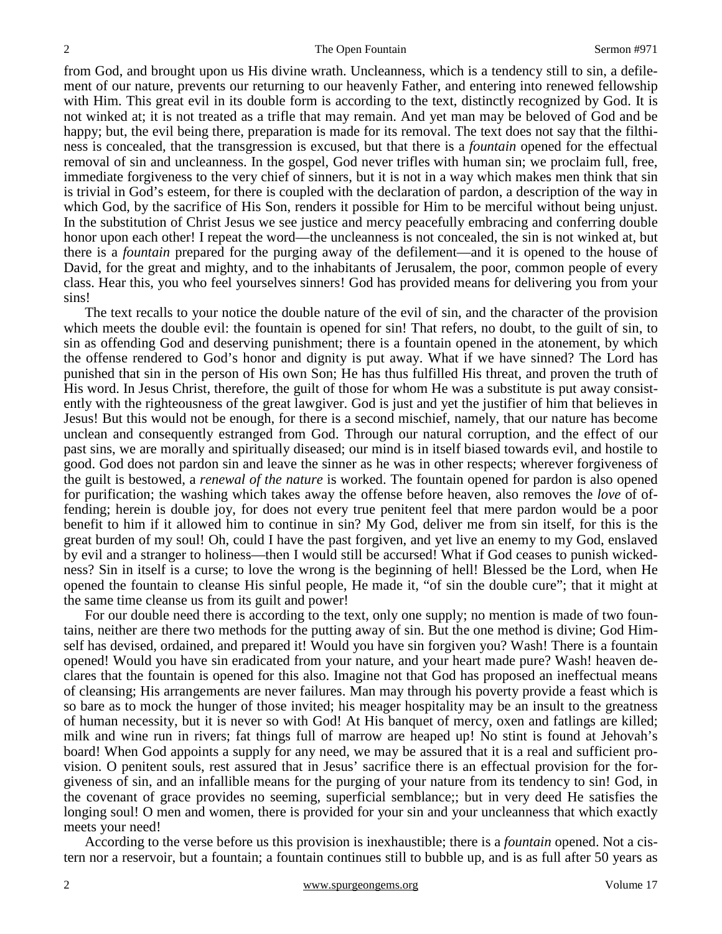from God, and brought upon us His divine wrath. Uncleanness, which is a tendency still to sin, a defilement of our nature, prevents our returning to our heavenly Father, and entering into renewed fellowship with Him. This great evil in its double form is according to the text, distinctly recognized by God. It is not winked at; it is not treated as a trifle that may remain. And yet man may be beloved of God and be happy; but, the evil being there, preparation is made for its removal. The text does not say that the filthiness is concealed, that the transgression is excused, but that there is a *fountain* opened for the effectual removal of sin and uncleanness. In the gospel, God never trifles with human sin; we proclaim full, free, immediate forgiveness to the very chief of sinners, but it is not in a way which makes men think that sin is trivial in God's esteem, for there is coupled with the declaration of pardon, a description of the way in which God, by the sacrifice of His Son, renders it possible for Him to be merciful without being unjust. In the substitution of Christ Jesus we see justice and mercy peacefully embracing and conferring double honor upon each other! I repeat the word—the uncleanness is not concealed, the sin is not winked at, but there is a *fountain* prepared for the purging away of the defilement—and it is opened to the house of David, for the great and mighty, and to the inhabitants of Jerusalem, the poor, common people of every class. Hear this, you who feel yourselves sinners! God has provided means for delivering you from your sins!

The text recalls to your notice the double nature of the evil of sin, and the character of the provision which meets the double evil: the fountain is opened for sin! That refers, no doubt, to the guilt of sin, to sin as offending God and deserving punishment; there is a fountain opened in the atonement, by which the offense rendered to God's honor and dignity is put away. What if we have sinned? The Lord has punished that sin in the person of His own Son; He has thus fulfilled His threat, and proven the truth of His word. In Jesus Christ, therefore, the guilt of those for whom He was a substitute is put away consistently with the righteousness of the great lawgiver. God is just and yet the justifier of him that believes in Jesus! But this would not be enough, for there is a second mischief, namely, that our nature has become unclean and consequently estranged from God. Through our natural corruption, and the effect of our past sins, we are morally and spiritually diseased; our mind is in itself biased towards evil, and hostile to good. God does not pardon sin and leave the sinner as he was in other respects; wherever forgiveness of the guilt is bestowed, a *renewal of the nature* is worked. The fountain opened for pardon is also opened for purification; the washing which takes away the offense before heaven, also removes the *love* of offending; herein is double joy, for does not every true penitent feel that mere pardon would be a poor benefit to him if it allowed him to continue in sin? My God, deliver me from sin itself, for this is the great burden of my soul! Oh, could I have the past forgiven, and yet live an enemy to my God, enslaved by evil and a stranger to holiness—then I would still be accursed! What if God ceases to punish wickedness? Sin in itself is a curse; to love the wrong is the beginning of hell! Blessed be the Lord, when He opened the fountain to cleanse His sinful people, He made it, "of sin the double cure"; that it might at the same time cleanse us from its guilt and power!

For our double need there is according to the text, only one supply; no mention is made of two fountains, neither are there two methods for the putting away of sin. But the one method is divine; God Himself has devised, ordained, and prepared it! Would you have sin forgiven you? Wash! There is a fountain opened! Would you have sin eradicated from your nature, and your heart made pure? Wash! heaven declares that the fountain is opened for this also. Imagine not that God has proposed an ineffectual means of cleansing; His arrangements are never failures. Man may through his poverty provide a feast which is so bare as to mock the hunger of those invited; his meager hospitality may be an insult to the greatness of human necessity, but it is never so with God! At His banquet of mercy, oxen and fatlings are killed; milk and wine run in rivers; fat things full of marrow are heaped up! No stint is found at Jehovah's board! When God appoints a supply for any need, we may be assured that it is a real and sufficient provision. O penitent souls, rest assured that in Jesus' sacrifice there is an effectual provision for the forgiveness of sin, and an infallible means for the purging of your nature from its tendency to sin! God, in the covenant of grace provides no seeming, superficial semblance;; but in very deed He satisfies the longing soul! O men and women, there is provided for your sin and your uncleanness that which exactly meets your need!

According to the verse before us this provision is inexhaustible; there is a *fountain* opened. Not a cistern nor a reservoir, but a fountain; a fountain continues still to bubble up, and is as full after 50 years as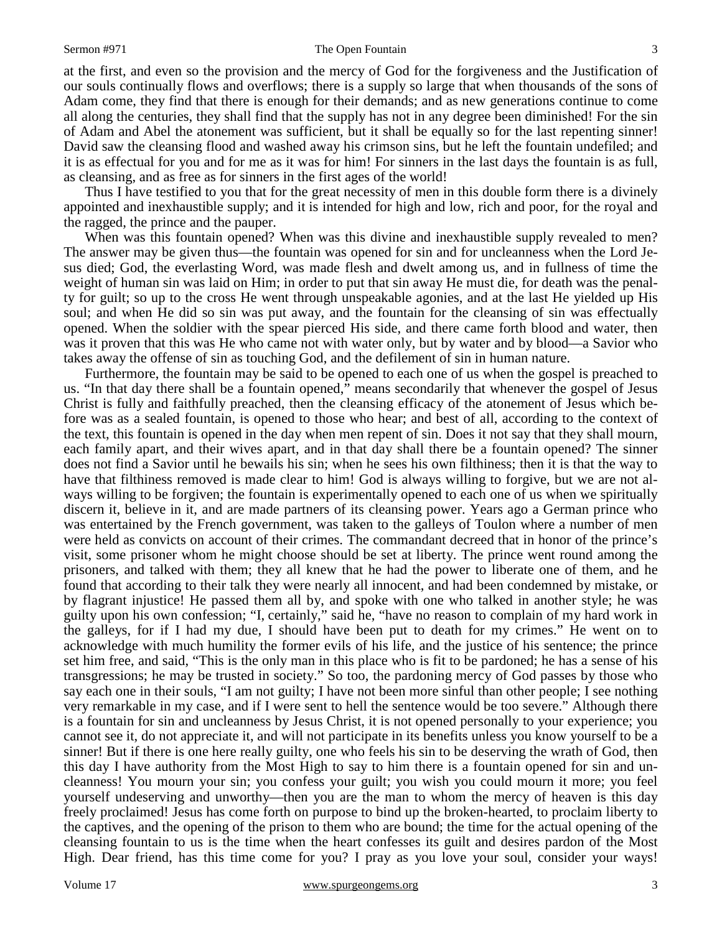#### Sermon #971 The Open Fountain

at the first, and even so the provision and the mercy of God for the forgiveness and the Justification of our souls continually flows and overflows; there is a supply so large that when thousands of the sons of Adam come, they find that there is enough for their demands; and as new generations continue to come all along the centuries, they shall find that the supply has not in any degree been diminished! For the sin of Adam and Abel the atonement was sufficient, but it shall be equally so for the last repenting sinner! David saw the cleansing flood and washed away his crimson sins, but he left the fountain undefiled; and it is as effectual for you and for me as it was for him! For sinners in the last days the fountain is as full, as cleansing, and as free as for sinners in the first ages of the world!

Thus I have testified to you that for the great necessity of men in this double form there is a divinely appointed and inexhaustible supply; and it is intended for high and low, rich and poor, for the royal and the ragged, the prince and the pauper.

When was this fountain opened? When was this divine and inexhaustible supply revealed to men? The answer may be given thus—the fountain was opened for sin and for uncleanness when the Lord Jesus died; God, the everlasting Word, was made flesh and dwelt among us, and in fullness of time the weight of human sin was laid on Him; in order to put that sin away He must die, for death was the penalty for guilt; so up to the cross He went through unspeakable agonies, and at the last He yielded up His soul; and when He did so sin was put away, and the fountain for the cleansing of sin was effectually opened. When the soldier with the spear pierced His side, and there came forth blood and water, then was it proven that this was He who came not with water only, but by water and by blood—a Savior who takes away the offense of sin as touching God, and the defilement of sin in human nature.

Furthermore, the fountain may be said to be opened to each one of us when the gospel is preached to us. "In that day there shall be a fountain opened," means secondarily that whenever the gospel of Jesus Christ is fully and faithfully preached, then the cleansing efficacy of the atonement of Jesus which before was as a sealed fountain, is opened to those who hear; and best of all, according to the context of the text, this fountain is opened in the day when men repent of sin. Does it not say that they shall mourn, each family apart, and their wives apart, and in that day shall there be a fountain opened? The sinner does not find a Savior until he bewails his sin; when he sees his own filthiness; then it is that the way to have that filthiness removed is made clear to him! God is always willing to forgive, but we are not always willing to be forgiven; the fountain is experimentally opened to each one of us when we spiritually discern it, believe in it, and are made partners of its cleansing power. Years ago a German prince who was entertained by the French government, was taken to the galleys of Toulon where a number of men were held as convicts on account of their crimes. The commandant decreed that in honor of the prince's visit, some prisoner whom he might choose should be set at liberty. The prince went round among the prisoners, and talked with them; they all knew that he had the power to liberate one of them, and he found that according to their talk they were nearly all innocent, and had been condemned by mistake, or by flagrant injustice! He passed them all by, and spoke with one who talked in another style; he was guilty upon his own confession; "I, certainly," said he, "have no reason to complain of my hard work in the galleys, for if I had my due, I should have been put to death for my crimes." He went on to acknowledge with much humility the former evils of his life, and the justice of his sentence; the prince set him free, and said, "This is the only man in this place who is fit to be pardoned; he has a sense of his transgressions; he may be trusted in society." So too, the pardoning mercy of God passes by those who say each one in their souls, "I am not guilty; I have not been more sinful than other people; I see nothing very remarkable in my case, and if I were sent to hell the sentence would be too severe." Although there is a fountain for sin and uncleanness by Jesus Christ, it is not opened personally to your experience; you cannot see it, do not appreciate it, and will not participate in its benefits unless you know yourself to be a sinner! But if there is one here really guilty, one who feels his sin to be deserving the wrath of God, then this day I have authority from the Most High to say to him there is a fountain opened for sin and uncleanness! You mourn your sin; you confess your guilt; you wish you could mourn it more; you feel yourself undeserving and unworthy—then you are the man to whom the mercy of heaven is this day freely proclaimed! Jesus has come forth on purpose to bind up the broken-hearted, to proclaim liberty to the captives, and the opening of the prison to them who are bound; the time for the actual opening of the cleansing fountain to us is the time when the heart confesses its guilt and desires pardon of the Most High. Dear friend, has this time come for you? I pray as you love your soul, consider your ways!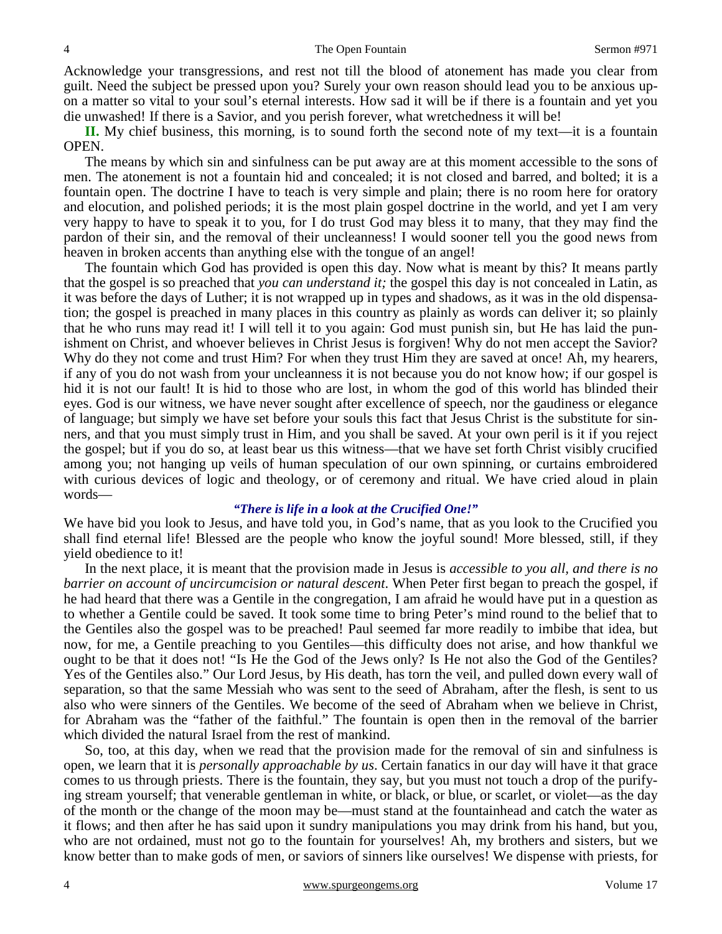Acknowledge your transgressions, and rest not till the blood of atonement has made you clear from guilt. Need the subject be pressed upon you? Surely your own reason should lead you to be anxious upon a matter so vital to your soul's eternal interests. How sad it will be if there is a fountain and yet you die unwashed! If there is a Savior, and you perish forever, what wretchedness it will be!

**II.** My chief business, this morning, is to sound forth the second note of my text—it is a fountain OPEN.

The means by which sin and sinfulness can be put away are at this moment accessible to the sons of men. The atonement is not a fountain hid and concealed; it is not closed and barred, and bolted; it is a fountain open. The doctrine I have to teach is very simple and plain; there is no room here for oratory and elocution, and polished periods; it is the most plain gospel doctrine in the world, and yet I am very very happy to have to speak it to you, for I do trust God may bless it to many, that they may find the pardon of their sin, and the removal of their uncleanness! I would sooner tell you the good news from heaven in broken accents than anything else with the tongue of an angel!

The fountain which God has provided is open this day. Now what is meant by this? It means partly that the gospel is so preached that *you can understand it;* the gospel this day is not concealed in Latin, as it was before the days of Luther; it is not wrapped up in types and shadows, as it was in the old dispensation; the gospel is preached in many places in this country as plainly as words can deliver it; so plainly that he who runs may read it! I will tell it to you again: God must punish sin, but He has laid the punishment on Christ, and whoever believes in Christ Jesus is forgiven! Why do not men accept the Savior? Why do they not come and trust Him? For when they trust Him they are saved at once! Ah, my hearers, if any of you do not wash from your uncleanness it is not because you do not know how; if our gospel is hid it is not our fault! It is hid to those who are lost, in whom the god of this world has blinded their eyes. God is our witness, we have never sought after excellence of speech, nor the gaudiness or elegance of language; but simply we have set before your souls this fact that Jesus Christ is the substitute for sinners, and that you must simply trust in Him, and you shall be saved. At your own peril is it if you reject the gospel; but if you do so, at least bear us this witness—that we have set forth Christ visibly crucified among you; not hanging up veils of human speculation of our own spinning, or curtains embroidered with curious devices of logic and theology, or of ceremony and ritual. We have cried aloud in plain words—

## *"There is life in a look at the Crucified One!"*

We have bid you look to Jesus, and have told you, in God's name, that as you look to the Crucified you shall find eternal life! Blessed are the people who know the joyful sound! More blessed, still, if they yield obedience to it!

In the next place, it is meant that the provision made in Jesus is *accessible to you all, and there is no barrier on account of uncircumcision or natural descent*. When Peter first began to preach the gospel, if he had heard that there was a Gentile in the congregation, I am afraid he would have put in a question as to whether a Gentile could be saved. It took some time to bring Peter's mind round to the belief that to the Gentiles also the gospel was to be preached! Paul seemed far more readily to imbibe that idea, but now, for me, a Gentile preaching to you Gentiles—this difficulty does not arise, and how thankful we ought to be that it does not! "Is He the God of the Jews only? Is He not also the God of the Gentiles? Yes of the Gentiles also." Our Lord Jesus, by His death, has torn the veil, and pulled down every wall of separation, so that the same Messiah who was sent to the seed of Abraham, after the flesh, is sent to us also who were sinners of the Gentiles. We become of the seed of Abraham when we believe in Christ, for Abraham was the "father of the faithful." The fountain is open then in the removal of the barrier which divided the natural Israel from the rest of mankind.

So, too, at this day, when we read that the provision made for the removal of sin and sinfulness is open, we learn that it is *personally approachable by us*. Certain fanatics in our day will have it that grace comes to us through priests. There is the fountain, they say, but you must not touch a drop of the purifying stream yourself; that venerable gentleman in white, or black, or blue, or scarlet, or violet—as the day of the month or the change of the moon may be—must stand at the fountainhead and catch the water as it flows; and then after he has said upon it sundry manipulations you may drink from his hand, but you, who are not ordained, must not go to the fountain for yourselves! Ah, my brothers and sisters, but we know better than to make gods of men, or saviors of sinners like ourselves! We dispense with priests, for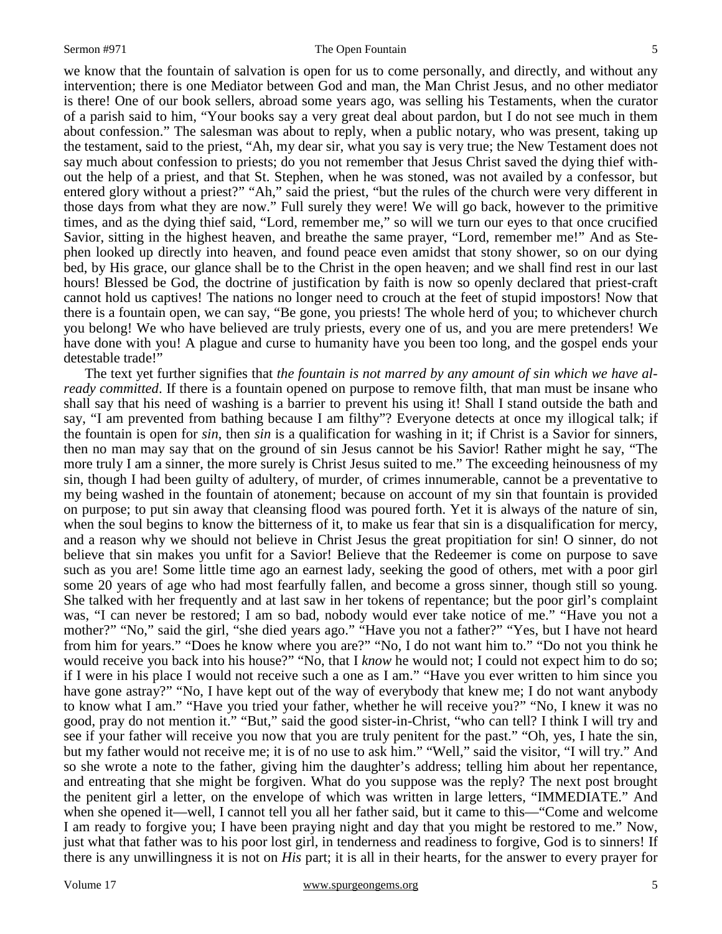### Sermon #971 The Open Fountain

we know that the fountain of salvation is open for us to come personally, and directly, and without any intervention; there is one Mediator between God and man, the Man Christ Jesus, and no other mediator is there! One of our book sellers, abroad some years ago, was selling his Testaments, when the curator of a parish said to him, "Your books say a very great deal about pardon, but I do not see much in them about confession." The salesman was about to reply, when a public notary, who was present, taking up the testament, said to the priest, "Ah, my dear sir, what you say is very true; the New Testament does not say much about confession to priests; do you not remember that Jesus Christ saved the dying thief without the help of a priest, and that St. Stephen, when he was stoned, was not availed by a confessor, but entered glory without a priest?" "Ah," said the priest, "but the rules of the church were very different in those days from what they are now." Full surely they were! We will go back, however to the primitive times, and as the dying thief said, "Lord, remember me," so will we turn our eyes to that once crucified Savior, sitting in the highest heaven, and breathe the same prayer, "Lord, remember me!" And as Stephen looked up directly into heaven, and found peace even amidst that stony shower, so on our dying bed, by His grace, our glance shall be to the Christ in the open heaven; and we shall find rest in our last hours! Blessed be God, the doctrine of justification by faith is now so openly declared that priest-craft cannot hold us captives! The nations no longer need to crouch at the feet of stupid impostors! Now that there is a fountain open, we can say, "Be gone, you priests! The whole herd of you; to whichever church you belong! We who have believed are truly priests, every one of us, and you are mere pretenders! We have done with you! A plague and curse to humanity have you been too long, and the gospel ends your detestable trade!"

The text yet further signifies that *the fountain is not marred by any amount of sin which we have already committed*. If there is a fountain opened on purpose to remove filth, that man must be insane who shall say that his need of washing is a barrier to prevent his using it! Shall I stand outside the bath and say, "I am prevented from bathing because I am filthy"? Everyone detects at once my illogical talk; if the fountain is open for *sin*, then *sin* is a qualification for washing in it; if Christ is a Savior for sinners, then no man may say that on the ground of sin Jesus cannot be his Savior! Rather might he say, "The more truly I am a sinner, the more surely is Christ Jesus suited to me." The exceeding heinousness of my sin, though I had been guilty of adultery, of murder, of crimes innumerable, cannot be a preventative to my being washed in the fountain of atonement; because on account of my sin that fountain is provided on purpose; to put sin away that cleansing flood was poured forth. Yet it is always of the nature of sin, when the soul begins to know the bitterness of it, to make us fear that sin is a disqualification for mercy, and a reason why we should not believe in Christ Jesus the great propitiation for sin! O sinner, do not believe that sin makes you unfit for a Savior! Believe that the Redeemer is come on purpose to save such as you are! Some little time ago an earnest lady, seeking the good of others, met with a poor girl some 20 years of age who had most fearfully fallen, and become a gross sinner, though still so young. She talked with her frequently and at last saw in her tokens of repentance; but the poor girl's complaint was, "I can never be restored; I am so bad, nobody would ever take notice of me." "Have you not a mother?" "No," said the girl, "she died years ago." "Have you not a father?" "Yes, but I have not heard from him for years." "Does he know where you are?" "No, I do not want him to." "Do not you think he would receive you back into his house?" "No, that I *know* he would not; I could not expect him to do so; if I were in his place I would not receive such a one as I am." "Have you ever written to him since you have gone astray?" "No, I have kept out of the way of everybody that knew me; I do not want anybody to know what I am." "Have you tried your father, whether he will receive you?" "No, I knew it was no good, pray do not mention it." "But," said the good sister-in-Christ, "who can tell? I think I will try and see if your father will receive you now that you are truly penitent for the past." "Oh, yes, I hate the sin, but my father would not receive me; it is of no use to ask him." "Well," said the visitor, "I will try." And so she wrote a note to the father, giving him the daughter's address; telling him about her repentance, and entreating that she might be forgiven. What do you suppose was the reply? The next post brought the penitent girl a letter, on the envelope of which was written in large letters, "IMMEDIATE." And when she opened it—well, I cannot tell you all her father said, but it came to this—"Come and welcome I am ready to forgive you; I have been praying night and day that you might be restored to me." Now, just what that father was to his poor lost girl, in tenderness and readiness to forgive, God is to sinners! If there is any unwillingness it is not on *His* part; it is all in their hearts, for the answer to every prayer for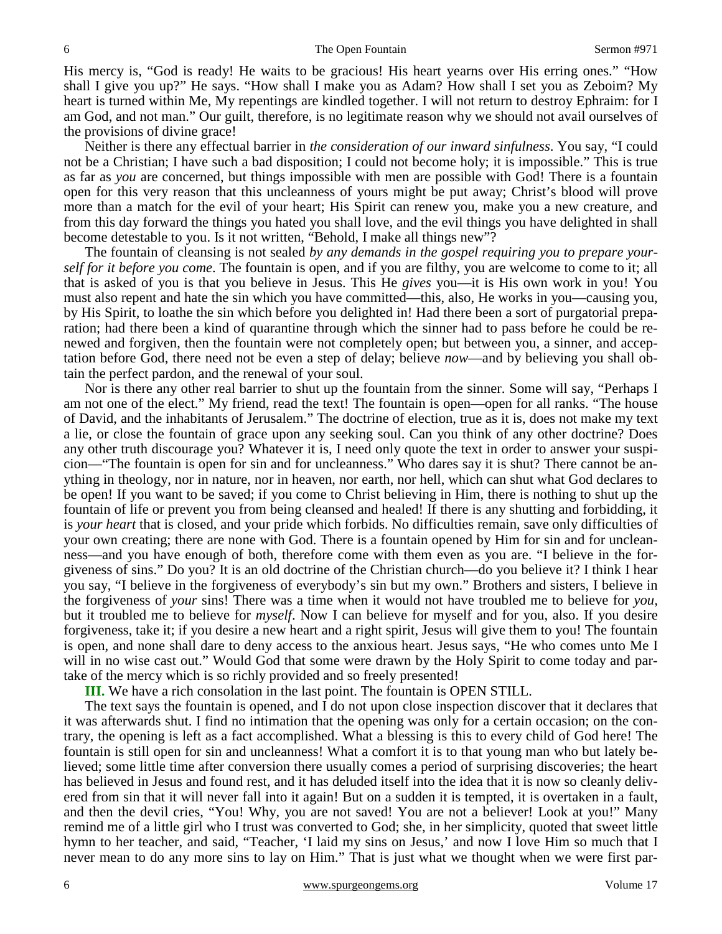His mercy is, "God is ready! He waits to be gracious! His heart yearns over His erring ones." "How shall I give you up?" He says. "How shall I make you as Adam? How shall I set you as Zeboim? My heart is turned within Me, My repentings are kindled together. I will not return to destroy Ephraim: for I am God, and not man." Our guilt, therefore, is no legitimate reason why we should not avail ourselves of the provisions of divine grace!

Neither is there any effectual barrier in *the consideration of our inward sinfulness*. You say, "I could not be a Christian; I have such a bad disposition; I could not become holy; it is impossible." This is true as far as *you* are concerned, but things impossible with men are possible with God! There is a fountain open for this very reason that this uncleanness of yours might be put away; Christ's blood will prove more than a match for the evil of your heart; His Spirit can renew you, make you a new creature, and from this day forward the things you hated you shall love, and the evil things you have delighted in shall become detestable to you. Is it not written, "Behold, I make all things new"?

The fountain of cleansing is not sealed *by any demands in the gospel requiring you to prepare yourself for it before you come*. The fountain is open, and if you are filthy, you are welcome to come to it; all that is asked of you is that you believe in Jesus. This He *gives* you—it is His own work in you! You must also repent and hate the sin which you have committed—this, also, He works in you—causing you, by His Spirit, to loathe the sin which before you delighted in! Had there been a sort of purgatorial preparation; had there been a kind of quarantine through which the sinner had to pass before he could be renewed and forgiven, then the fountain were not completely open; but between you, a sinner, and acceptation before God, there need not be even a step of delay; believe *now*—and by believing you shall obtain the perfect pardon, and the renewal of your soul.

Nor is there any other real barrier to shut up the fountain from the sinner. Some will say, "Perhaps I am not one of the elect." My friend, read the text! The fountain is open—open for all ranks. "The house of David, and the inhabitants of Jerusalem." The doctrine of election, true as it is, does not make my text a lie, or close the fountain of grace upon any seeking soul. Can you think of any other doctrine? Does any other truth discourage you? Whatever it is, I need only quote the text in order to answer your suspicion—"The fountain is open for sin and for uncleanness." Who dares say it is shut? There cannot be anything in theology, nor in nature, nor in heaven, nor earth, nor hell, which can shut what God declares to be open! If you want to be saved; if you come to Christ believing in Him, there is nothing to shut up the fountain of life or prevent you from being cleansed and healed! If there is any shutting and forbidding, it is *your heart* that is closed, and your pride which forbids. No difficulties remain, save only difficulties of your own creating; there are none with God. There is a fountain opened by Him for sin and for uncleanness—and you have enough of both, therefore come with them even as you are. "I believe in the forgiveness of sins." Do you? It is an old doctrine of the Christian church—do you believe it? I think I hear you say, "I believe in the forgiveness of everybody's sin but my own." Brothers and sisters, I believe in the forgiveness of *your* sins! There was a time when it would not have troubled me to believe for *you,* but it troubled me to believe for *myself*. Now I can believe for myself and for you, also. If you desire forgiveness, take it; if you desire a new heart and a right spirit, Jesus will give them to you! The fountain is open, and none shall dare to deny access to the anxious heart. Jesus says, "He who comes unto Me I will in no wise cast out." Would God that some were drawn by the Holy Spirit to come today and partake of the mercy which is so richly provided and so freely presented!

**III.** We have a rich consolation in the last point. The fountain is OPEN STILL.

The text says the fountain is opened, and I do not upon close inspection discover that it declares that it was afterwards shut. I find no intimation that the opening was only for a certain occasion; on the contrary, the opening is left as a fact accomplished. What a blessing is this to every child of God here! The fountain is still open for sin and uncleanness! What a comfort it is to that young man who but lately believed; some little time after conversion there usually comes a period of surprising discoveries; the heart has believed in Jesus and found rest, and it has deluded itself into the idea that it is now so cleanly delivered from sin that it will never fall into it again! But on a sudden it is tempted, it is overtaken in a fault, and then the devil cries, "You! Why, you are not saved! You are not a believer! Look at you!" Many remind me of a little girl who I trust was converted to God; she, in her simplicity, quoted that sweet little hymn to her teacher, and said, "Teacher, 'I laid my sins on Jesus,' and now I love Him so much that I never mean to do any more sins to lay on Him." That is just what we thought when we were first par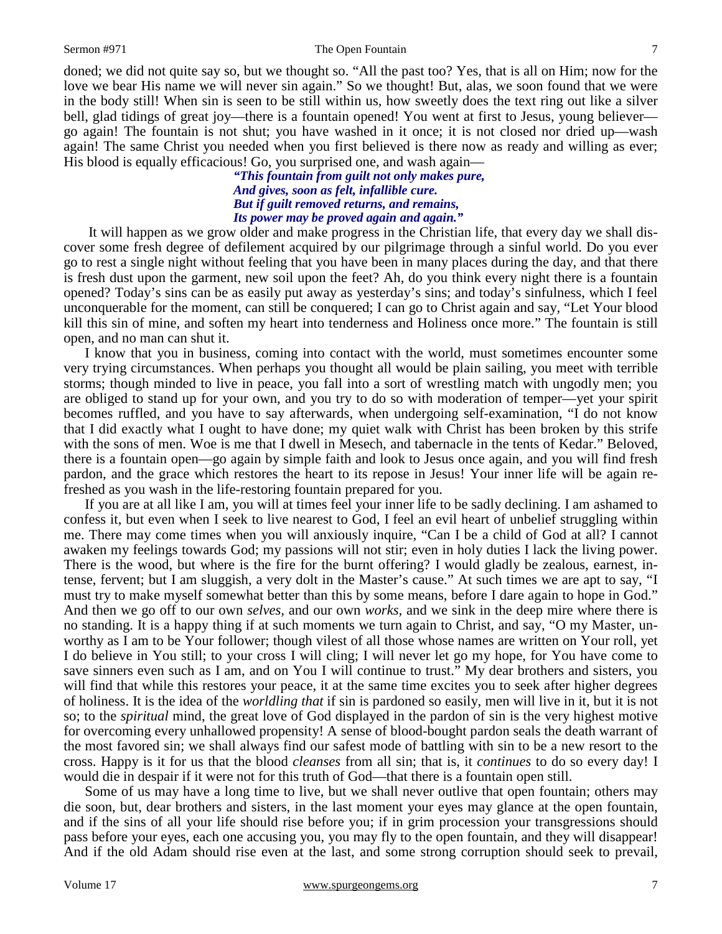doned; we did not quite say so, but we thought so. "All the past too? Yes, that is all on Him; now for the love we bear His name we will never sin again." So we thought! But, alas, we soon found that we were in the body still! When sin is seen to be still within us, how sweetly does the text ring out like a silver bell, glad tidings of great joy—there is a fountain opened! You went at first to Jesus, young believer go again! The fountain is not shut; you have washed in it once; it is not closed nor dried up—wash again! The same Christ you needed when you first believed is there now as ready and willing as ever;

> *"This fountain from guilt not only makes pure, And gives, soon as felt, infallible cure. But if guilt removed returns, and remains, Its power may be proved again and again."*

His blood is equally efficacious! Go, you surprised one, and wash again—

It will happen as we grow older and make progress in the Christian life, that every day we shall discover some fresh degree of defilement acquired by our pilgrimage through a sinful world. Do you ever go to rest a single night without feeling that you have been in many places during the day, and that there is fresh dust upon the garment, new soil upon the feet? Ah, do you think every night there is a fountain opened? Today's sins can be as easily put away as yesterday's sins; and today's sinfulness, which I feel unconquerable for the moment, can still be conquered; I can go to Christ again and say, "Let Your blood kill this sin of mine, and soften my heart into tenderness and Holiness once more." The fountain is still open, and no man can shut it.

I know that you in business, coming into contact with the world, must sometimes encounter some very trying circumstances. When perhaps you thought all would be plain sailing, you meet with terrible storms; though minded to live in peace, you fall into a sort of wrestling match with ungodly men; you are obliged to stand up for your own, and you try to do so with moderation of temper—yet your spirit becomes ruffled, and you have to say afterwards, when undergoing self-examination, "I do not know that I did exactly what I ought to have done; my quiet walk with Christ has been broken by this strife with the sons of men. Woe is me that I dwell in Mesech, and tabernacle in the tents of Kedar." Beloved, there is a fountain open—go again by simple faith and look to Jesus once again, and you will find fresh pardon, and the grace which restores the heart to its repose in Jesus! Your inner life will be again refreshed as you wash in the life-restoring fountain prepared for you.

If you are at all like I am, you will at times feel your inner life to be sadly declining. I am ashamed to confess it, but even when I seek to live nearest to God, I feel an evil heart of unbelief struggling within me. There may come times when you will anxiously inquire, "Can I be a child of God at all? I cannot awaken my feelings towards God; my passions will not stir; even in holy duties I lack the living power. There is the wood, but where is the fire for the burnt offering? I would gladly be zealous, earnest, intense, fervent; but I am sluggish, a very dolt in the Master's cause." At such times we are apt to say, "I must try to make myself somewhat better than this by some means, before I dare again to hope in God." And then we go off to our own *selves,* and our own *works,* and we sink in the deep mire where there is no standing. It is a happy thing if at such moments we turn again to Christ, and say, "O my Master, unworthy as I am to be Your follower; though vilest of all those whose names are written on Your roll, yet I do believe in You still; to your cross I will cling; I will never let go my hope, for You have come to save sinners even such as I am, and on You I will continue to trust." My dear brothers and sisters, you will find that while this restores your peace, it at the same time excites you to seek after higher degrees of holiness. It is the idea of the *worldling that* if sin is pardoned so easily, men will live in it, but it is not so; to the *spiritual* mind, the great love of God displayed in the pardon of sin is the very highest motive for overcoming every unhallowed propensity! A sense of blood-bought pardon seals the death warrant of the most favored sin; we shall always find our safest mode of battling with sin to be a new resort to the cross. Happy is it for us that the blood *cleanses* from all sin; that is, it *continues* to do so every day! I would die in despair if it were not for this truth of God—that there is a fountain open still.

Some of us may have a long time to live, but we shall never outlive that open fountain; others may die soon, but, dear brothers and sisters, in the last moment your eyes may glance at the open fountain, and if the sins of all your life should rise before you; if in grim procession your transgressions should pass before your eyes, each one accusing you, you may fly to the open fountain, and they will disappear! And if the old Adam should rise even at the last, and some strong corruption should seek to prevail,